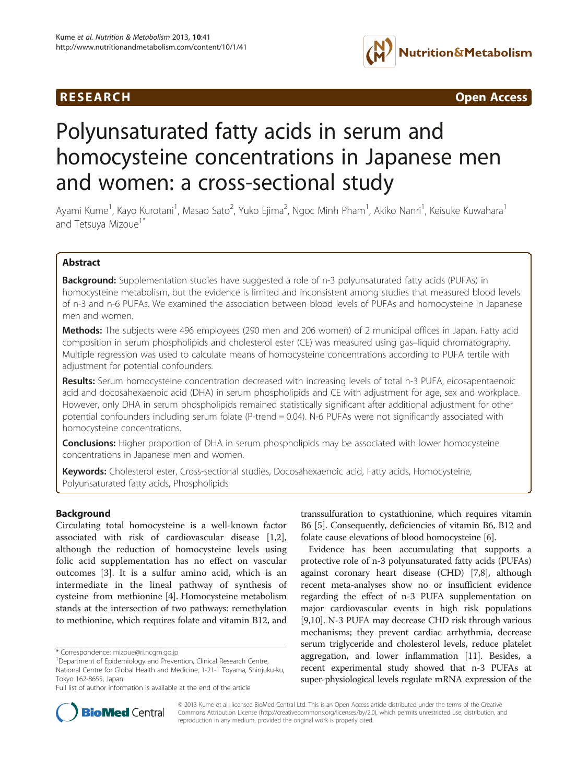## **RESEARCH RESEARCH** *CONSERVERSEARCH CODERNESS <b>CODERNESS*



# Polyunsaturated fatty acids in serum and homocysteine concentrations in Japanese men and women: a cross-sectional study

Ayami Kume<sup>1</sup>, Kayo Kurotani<sup>1</sup>, Masao Sato<sup>2</sup>, Yuko Ejima<sup>2</sup>, Ngoc Minh Pham<sup>1</sup>, Akiko Nanri<sup>1</sup>, Keisuke Kuwahara<sup>1</sup> and Tetsuya Mizoue<sup>1\*</sup>

## Abstract

**Background:** Supplementation studies have suggested a role of n-3 polyunsaturated fatty acids (PUFAs) in homocysteine metabolism, but the evidence is limited and inconsistent among studies that measured blood levels of n-3 and n-6 PUFAs. We examined the association between blood levels of PUFAs and homocysteine in Japanese men and women.

Methods: The subjects were 496 employees (290 men and 206 women) of 2 municipal offices in Japan. Fatty acid composition in serum phospholipids and cholesterol ester (CE) was measured using gas–liquid chromatography. Multiple regression was used to calculate means of homocysteine concentrations according to PUFA tertile with adjustment for potential confounders.

Results: Serum homocysteine concentration decreased with increasing levels of total n-3 PUFA, eicosapentaenoic acid and docosahexaenoic acid (DHA) in serum phospholipids and CE with adjustment for age, sex and workplace. However, only DHA in serum phospholipids remained statistically significant after additional adjustment for other potential confounders including serum folate (P-trend = 0.04). N-6 PUFAs were not significantly associated with homocysteine concentrations.

**Conclusions:** Higher proportion of DHA in serum phospholipids may be associated with lower homocysteine concentrations in Japanese men and women.

Keywords: Cholesterol ester, Cross-sectional studies, Docosahexaenoic acid, Fatty acids, Homocysteine, Polyunsaturated fatty acids, Phospholipids

## Background

Circulating total homocysteine is a well-known factor associated with risk of cardiovascular disease [\[1,2](#page-6-0)], although the reduction of homocysteine levels using folic acid supplementation has no effect on vascular outcomes [\[3](#page-6-0)]. It is a sulfur amino acid, which is an intermediate in the lineal pathway of synthesis of cysteine from methionine [\[4](#page-6-0)]. Homocysteine metabolism stands at the intersection of two pathways: remethylation to methionine, which requires folate and vitamin B12, and

transsulfuration to cystathionine, which requires vitamin B6 [[5](#page-6-0)]. Consequently, deficiencies of vitamin B6, B12 and folate cause elevations of blood homocysteine [\[6\]](#page-6-0).

Evidence has been accumulating that supports a protective role of n-3 polyunsaturated fatty acids (PUFAs) against coronary heart disease (CHD) [[7,](#page-6-0)[8\]](#page-7-0), although recent meta-analyses show no or insufficient evidence regarding the effect of n-3 PUFA supplementation on major cardiovascular events in high risk populations [[9,10](#page-7-0)]. N-3 PUFA may decrease CHD risk through various mechanisms; they prevent cardiac arrhythmia, decrease serum triglyceride and cholesterol levels, reduce platelet aggregation, and lower inflammation [\[11\]](#page-7-0). Besides, a recent experimental study showed that n-3 PUFAs at super-physiological levels regulate mRNA expression of the



© 2013 Kume et al.; licensee BioMed Central Ltd. This is an Open Access article distributed under the terms of the Creative Commons Attribution License [\(http://creativecommons.org/licenses/by/2.0\)](http://creativecommons.org/licenses/by/2.0), which permits unrestricted use, distribution, and reproduction in any medium, provided the original work is properly cited.

<sup>\*</sup> Correspondence: [mizoue@ri.ncgm.go.jp](mailto:mizoue@ri.ncgm.go.jp) <sup>1</sup>

<sup>&</sup>lt;sup>1</sup>Department of Epidemiology and Prevention, Clinical Research Centre, National Centre for Global Health and Medicine, 1-21-1 Toyama, Shinjuku-ku, Tokyo 162-8655, Japan

Full list of author information is available at the end of the article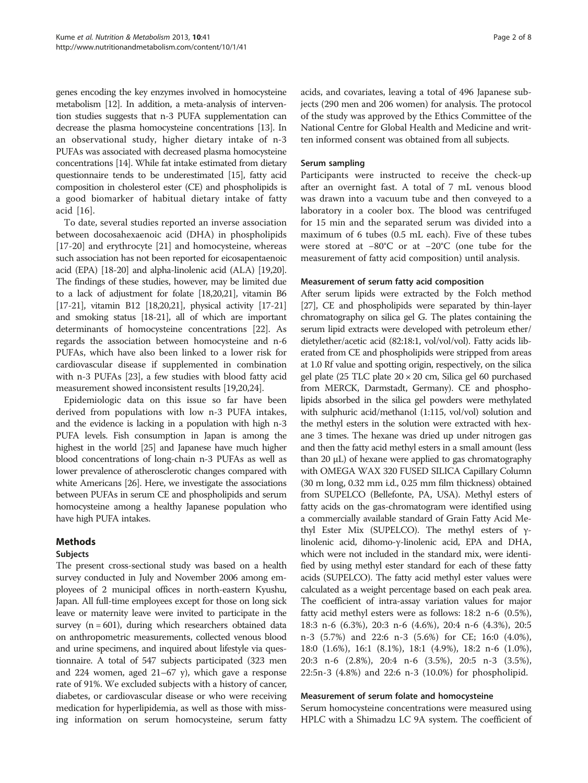genes encoding the key enzymes involved in homocysteine metabolism [\[12\]](#page-7-0). In addition, a meta-analysis of intervention studies suggests that n-3 PUFA supplementation can decrease the plasma homocysteine concentrations [\[13](#page-7-0)]. In an observational study, higher dietary intake of n-3 PUFAs was associated with decreased plasma homocysteine concentrations [\[14](#page-7-0)]. While fat intake estimated from dietary questionnaire tends to be underestimated [\[15](#page-7-0)], fatty acid composition in cholesterol ester (CE) and phospholipids is a good biomarker of habitual dietary intake of fatty acid [[16\]](#page-7-0).

To date, several studies reported an inverse association between docosahexaenoic acid (DHA) in phospholipids [[17-20](#page-7-0)] and erythrocyte [[21\]](#page-7-0) and homocysteine, whereas such association has not been reported for eicosapentaenoic acid (EPA) [[18-20\]](#page-7-0) and alpha-linolenic acid (ALA) [[19,20](#page-7-0)]. The findings of these studies, however, may be limited due to a lack of adjustment for folate [\[18,20,21](#page-7-0)], vitamin B6 [[17](#page-7-0)-[21\]](#page-7-0), vitamin B12 [\[18,20,21\]](#page-7-0), physical activity [\[17-21](#page-7-0)] and smoking status [[18](#page-7-0)-[21](#page-7-0)], all of which are important determinants of homocysteine concentrations [\[22\]](#page-7-0). As regards the association between homocysteine and n-6 PUFAs, which have also been linked to a lower risk for cardiovascular disease if supplemented in combination with n-3 PUFAs [[23\]](#page-7-0), a few studies with blood fatty acid measurement showed inconsistent results [\[19,20,24](#page-7-0)].

Epidemiologic data on this issue so far have been derived from populations with low n-3 PUFA intakes, and the evidence is lacking in a population with high n-3 PUFA levels. Fish consumption in Japan is among the highest in the world [[25\]](#page-7-0) and Japanese have much higher blood concentrations of long-chain n-3 PUFAs as well as lower prevalence of atherosclerotic changes compared with white Americans [\[26\]](#page-7-0). Here, we investigate the associations between PUFAs in serum CE and phospholipids and serum homocysteine among a healthy Japanese population who have high PUFA intakes.

## Methods

## Subjects

The present cross-sectional study was based on a health survey conducted in July and November 2006 among employees of 2 municipal offices in north-eastern Kyushu, Japan. All full-time employees except for those on long sick leave or maternity leave were invited to participate in the survey  $(n = 601)$ , during which researchers obtained data on anthropometric measurements, collected venous blood and urine specimens, and inquired about lifestyle via questionnaire. A total of 547 subjects participated (323 men and 224 women, aged 21–67 y), which gave a response rate of 91%. We excluded subjects with a history of cancer, diabetes, or cardiovascular disease or who were receiving medication for hyperlipidemia, as well as those with missing information on serum homocysteine, serum fatty

acids, and covariates, leaving a total of 496 Japanese subjects (290 men and 206 women) for analysis. The protocol of the study was approved by the Ethics Committee of the National Centre for Global Health and Medicine and written informed consent was obtained from all subjects.

## Serum sampling

Participants were instructed to receive the check-up after an overnight fast. A total of 7 mL venous blood was drawn into a vacuum tube and then conveyed to a laboratory in a cooler box. The blood was centrifuged for 15 min and the separated serum was divided into a maximum of 6 tubes (0.5 mL each). Five of these tubes were stored at −80°C or at −20°C (one tube for the measurement of fatty acid composition) until analysis.

## Measurement of serum fatty acid composition

After serum lipids were extracted by the Folch method [[27](#page-7-0)], CE and phospholipids were separated by thin-layer chromatography on silica gel G. The plates containing the serum lipid extracts were developed with petroleum ether/ dietylether/acetic acid (82:18:1, vol/vol/vol). Fatty acids liberated from CE and phospholipids were stripped from areas at 1.0 Rf value and spotting origin, respectively, on the silica gel plate (25 TLC plate 20 × 20 cm, Silica gel 60 purchased from MERCK, Darmstadt, Germany). CE and phospholipids absorbed in the silica gel powders were methylated with sulphuric acid/methanol (1:115, vol/vol) solution and the methyl esters in the solution were extracted with hexane 3 times. The hexane was dried up under nitrogen gas and then the fatty acid methyl esters in a small amount (less than 20 μL) of hexane were applied to gas chromatography with OMEGA WAX 320 FUSED SILICA Capillary Column (30 m long, 0.32 mm i.d., 0.25 mm film thickness) obtained from SUPELCO (Bellefonte, PA, USA). Methyl esters of fatty acids on the gas-chromatogram were identified using a commercially available standard of Grain Fatty Acid Methyl Ester Mix (SUPELCO). The methyl esters of γlinolenic acid, dihomo-γ-linolenic acid, EPA and DHA, which were not included in the standard mix, were identified by using methyl ester standard for each of these fatty acids (SUPELCO). The fatty acid methyl ester values were calculated as a weight percentage based on each peak area. The coefficient of intra-assay variation values for major fatty acid methyl esters were as follows: 18:2 n-6 (0.5%), 18:3 n-6 (6.3%), 20:3 n-6 (4.6%), 20:4 n-6 (4.3%), 20:5 n-3 (5.7%) and 22:6 n-3 (5.6%) for CE; 16:0 (4.0%), 18:0 (1.6%), 16:1 (8.1%), 18:1 (4.9%), 18:2 n-6 (1.0%), 20:3 n-6 (2.8%), 20:4 n-6 (3.5%), 20:5 n-3 (3.5%), 22:5n-3 (4.8%) and 22:6 n-3 (10.0%) for phospholipid.

## Measurement of serum folate and homocysteine

Serum homocysteine concentrations were measured using HPLC with a Shimadzu LC 9A system. The coefficient of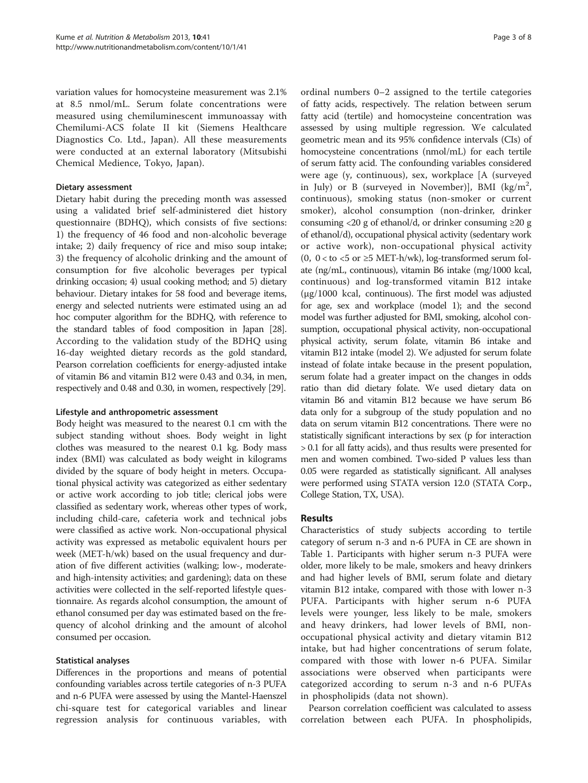variation values for homocysteine measurement was 2.1% at 8.5 nmol/mL. Serum folate concentrations were measured using chemiluminescent immunoassay with Chemilumi-ACS folate II kit (Siemens Healthcare Diagnostics Co. Ltd., Japan). All these measurements were conducted at an external laboratory (Mitsubishi Chemical Medience, Tokyo, Japan).

## Dietary assessment

Dietary habit during the preceding month was assessed using a validated brief self-administered diet history questionnaire (BDHQ), which consists of five sections: 1) the frequency of 46 food and non-alcoholic beverage intake; 2) daily frequency of rice and miso soup intake; 3) the frequency of alcoholic drinking and the amount of consumption for five alcoholic beverages per typical drinking occasion; 4) usual cooking method; and 5) dietary behaviour. Dietary intakes for 58 food and beverage items, energy and selected nutrients were estimated using an ad hoc computer algorithm for the BDHQ, with reference to the standard tables of food composition in Japan [\[28](#page-7-0)]. According to the validation study of the BDHQ using 16-day weighted dietary records as the gold standard, Pearson correlation coefficients for energy-adjusted intake of vitamin B6 and vitamin B12 were 0.43 and 0.34, in men, respectively and 0.48 and 0.30, in women, respectively [\[29](#page-7-0)].

## Lifestyle and anthropometric assessment

Body height was measured to the nearest 0.1 cm with the subject standing without shoes. Body weight in light clothes was measured to the nearest 0.1 kg. Body mass index (BMI) was calculated as body weight in kilograms divided by the square of body height in meters. Occupational physical activity was categorized as either sedentary or active work according to job title; clerical jobs were classified as sedentary work, whereas other types of work, including child-care, cafeteria work and technical jobs were classified as active work. Non-occupational physical activity was expressed as metabolic equivalent hours per week (MET-h/wk) based on the usual frequency and duration of five different activities (walking; low-, moderateand high-intensity activities; and gardening); data on these activities were collected in the self-reported lifestyle questionnaire. As regards alcohol consumption, the amount of ethanol consumed per day was estimated based on the frequency of alcohol drinking and the amount of alcohol consumed per occasion.

## Statistical analyses

Differences in the proportions and means of potential confounding variables across tertile categories of n-3 PUFA and n-6 PUFA were assessed by using the Mantel-Haenszel chi-square test for categorical variables and linear regression analysis for continuous variables, with

ordinal numbers 0–2 assigned to the tertile categories of fatty acids, respectively. The relation between serum fatty acid (tertile) and homocysteine concentration was assessed by using multiple regression. We calculated geometric mean and its 95% confidence intervals (CIs) of homocysteine concentrations (nmol/mL) for each tertile of serum fatty acid. The confounding variables considered were age (y, continuous), sex, workplace [A (surveyed in July) or B (surveyed in November)], BMI  $(kg/m^2,$ continuous), smoking status (non-smoker or current smoker), alcohol consumption (non-drinker, drinker consuming <20 g of ethanol/d, or drinker consuming  $\geq$ 20 g of ethanol/d), occupational physical activity (sedentary work or active work), non-occupational physical activity (0,  $0 <$  to  $<$  5 or  $\geq$  5 MET-h/wk), log-transformed serum folate (ng/mL, continuous), vitamin B6 intake (mg/1000 kcal, continuous) and log-transformed vitamin B12 intake (μg/1000 kcal, continuous). The first model was adjusted for age, sex and workplace (model 1); and the second model was further adjusted for BMI, smoking, alcohol consumption, occupational physical activity, non-occupational physical activity, serum folate, vitamin B6 intake and vitamin B12 intake (model 2). We adjusted for serum folate instead of folate intake because in the present population, serum folate had a greater impact on the changes in odds ratio than did dietary folate. We used dietary data on vitamin B6 and vitamin B12 because we have serum B6 data only for a subgroup of the study population and no data on serum vitamin B12 concentrations. There were no statistically significant interactions by sex (p for interaction > 0.1 for all fatty acids), and thus results were presented for men and women combined. Two-sided P values less than 0.05 were regarded as statistically significant. All analyses were performed using STATA version 12.0 (STATA Corp., College Station, TX, USA).

## Results

Characteristics of study subjects according to tertile category of serum n-3 and n-6 PUFA in CE are shown in Table [1](#page-3-0). Participants with higher serum n-3 PUFA were older, more likely to be male, smokers and heavy drinkers and had higher levels of BMI, serum folate and dietary vitamin B12 intake, compared with those with lower n-3 PUFA. Participants with higher serum n-6 PUFA levels were younger, less likely to be male, smokers and heavy drinkers, had lower levels of BMI, nonoccupational physical activity and dietary vitamin B12 intake, but had higher concentrations of serum folate, compared with those with lower n-6 PUFA. Similar associations were observed when participants were categorized according to serum n-3 and n-6 PUFAs in phospholipids (data not shown).

Pearson correlation coefficient was calculated to assess correlation between each PUFA. In phospholipids,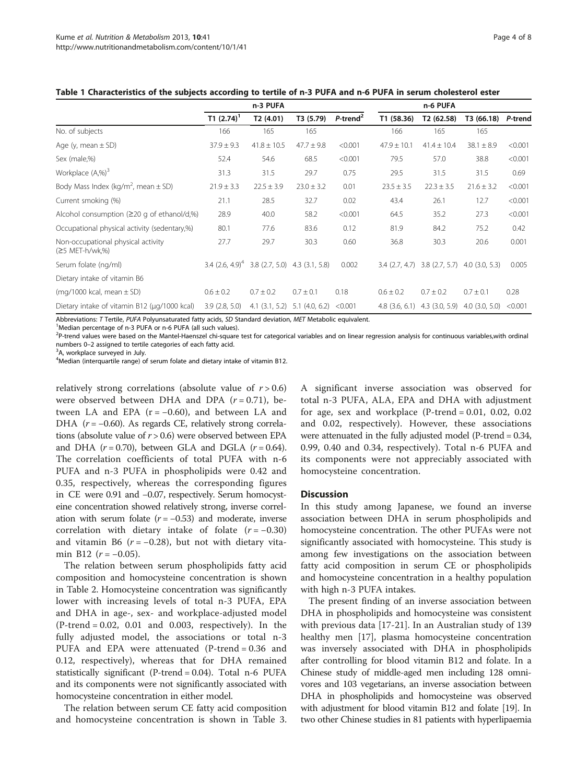|                                                       | n-3 PUFA                                                    |                    |                | n-6 PUFA                |                    |                 |                                   |         |
|-------------------------------------------------------|-------------------------------------------------------------|--------------------|----------------|-------------------------|--------------------|-----------------|-----------------------------------|---------|
|                                                       | T1 $(2.74)^1$                                               | T2(4.01)           | T3 (5.79)      | $P$ -trend <sup>2</sup> | T1 (58.36)         | T2 (62.58)      | T3 (66.18)                        | P-trend |
| No. of subjects                                       | 166                                                         | 165                | 165            |                         | 166                | 165             | 165                               |         |
| Age (y, mean $\pm$ SD)                                | $37.9 \pm 9.3$                                              | $41.8 \pm 10.5$    | $47.7 \pm 9.8$ | < 0.001                 | $47.9 \pm 10.1$    | $41.4 \pm 10.4$ | $38.1 \pm 8.9$                    | < 0.001 |
| Sex (male,%)                                          | 52.4                                                        | 54.6               | 68.5           | < 0.001                 | 79.5               | 57.0            | 38.8                              | < 0.001 |
| Workplace $(A,\%)^3$                                  | 31.3                                                        | 31.5               | 29.7           | 0.75                    | 29.5               | 31.5            | 31.5                              | 0.69    |
| Body Mass Index (kg/m <sup>2</sup> , mean $\pm$ SD)   | $21.9 \pm 3.3$                                              | $22.5 \pm 3.9$     | $23.0 \pm 3.2$ | 0.01                    | $23.5 \pm 3.5$     | $22.3 \pm 3.5$  | $21.6 \pm 3.2$                    | < 0.001 |
| Current smoking (%)                                   | 21.1                                                        | 28.5               | 32.7           | 0.02                    | 43.4               | 26.1            | 12.7                              | < 0.001 |
| Alcohol consumption $(220 \text{ g of ethanol/d,%)}$  | 28.9                                                        | 40.0               | 58.2           | < 0.001                 | 64.5               | 35.2            | 27.3                              | < 0.001 |
| Occupational physical activity (sedentary,%)          | 80.1                                                        | 77.6               | 83.6           | 0.12                    | 81.9               | 84.2            | 75.2                              | 0.42    |
| Non-occupational physical activity<br>(≥5 MET-h/wk,%) | 27.7                                                        | 29.7               | 30.3           | 0.60                    | 36.8               | 30.3            | 20.6                              | 0.001   |
| Serum folate (ng/ml)                                  | $3.4$ (2.6, 4.9) <sup>4</sup> 3.8 (2.7, 5.0) 4.3 (3.1, 5.8) |                    |                | 0.002                   | 3.4(2.7, 4.7)      |                 | $3.8$ (2.7, 5.7) $4.0$ (3.0, 5.3) | 0.005   |
| Dietary intake of vitamin B6                          |                                                             |                    |                |                         |                    |                 |                                   |         |
| (mg/1000 kcal, mean $\pm$ SD)                         | $0.6 \pm 0.2$                                               | $0.7 \pm 0.2$      | $0.7 \pm 0.1$  | 0.18                    | $0.6 \pm 0.2$      | $0.7 \pm 0.2$   | $0.7 \pm 0.1$                     | 0.28    |
| Dietary intake of vitamin B12 (µg/1000 kcal)          | 3.9(2.8, 5.0)                                               | $4.1$ $(3.1, 5.2)$ | 5.1(4.0, 6.2)  | < 0.001                 | $4.8$ $(3.6, 6.1)$ |                 | $4.3$ (3.0, 5.9) $4.0$ (3.0, 5.0) | < 0.001 |

### <span id="page-3-0"></span>Table 1 Characteristics of the subjects according to tertile of n-3 PUFA and n-6 PUFA in serum cholesterol ester

Abbreviations: T Tertile, PUFA Polyunsaturated fatty acids, SD Standard deviation, MET Metabolic equivalent.

<sup>1</sup>Median percentage of n-3 PUFA or n-6 PUFA (all such values).

<sup>2</sup>P-trend values were based on the Mantel-Haenszel chi-square test for categorical variables and on linear regression analysis for continuous variables,with ordinal numbers 0–2 assigned to tertile categories of each fatty acid. <sup>3</sup>

<sup>3</sup>A, workplace surveyed in July.

<sup>4</sup>Median (interquartile range) of serum folate and dietary intake of vitamin B12.

relatively strong correlations (absolute value of  $r > 0.6$ ) were observed between DHA and DPA  $(r = 0.71)$ , between LA and EPA  $(r = -0.60)$ , and between LA and DHA ( $r = -0.60$ ). As regards CE, relatively strong correlations (absolute value of  $r > 0.6$ ) were observed between EPA and DHA  $(r = 0.70)$ , between GLA and DGLA  $(r = 0.64)$ . The correlation coefficients of total PUFA with n-6 PUFA and n-3 PUFA in phospholipids were 0.42 and 0.35, respectively, whereas the corresponding figures in CE were 0.91 and −0.07, respectively. Serum homocysteine concentration showed relatively strong, inverse correlation with serum folate  $(r = -0.53)$  and moderate, inverse correlation with dietary intake of folate  $(r = -0.30)$ and vitamin B6 ( $r = -0.28$ ), but not with dietary vitamin B12 ( $r = -0.05$ ).

The relation between serum phospholipids fatty acid composition and homocysteine concentration is shown in Table [2.](#page-4-0) Homocysteine concentration was significantly lower with increasing levels of total n-3 PUFA, EPA and DHA in age-, sex- and workplace-adjusted model  $(P$ -trend = 0.02, 0.01 and 0.003, respectively). In the fully adjusted model, the associations or total n-3 PUFA and EPA were attenuated (P-trend = 0.36 and 0.12, respectively), whereas that for DHA remained statistically significant (P-trend  $= 0.04$ ). Total n-6 PUFA and its components were not significantly associated with homocysteine concentration in either model.

The relation between serum CE fatty acid composition and homocysteine concentration is shown in Table [3](#page-5-0).

A significant inverse association was observed for total n-3 PUFA, ALA, EPA and DHA with adjustment for age, sex and workplace  $(P$ -trend = 0.01, 0.02, 0.02 and 0.02, respectively). However, these associations were attenuated in the fully adjusted model (P-trend = 0.34, 0.99, 0.40 and 0.34, respectively). Total n-6 PUFA and its components were not appreciably associated with homocysteine concentration.

#### **Discussion**

In this study among Japanese, we found an inverse association between DHA in serum phospholipids and homocysteine concentration. The other PUFAs were not significantly associated with homocysteine. This study is among few investigations on the association between fatty acid composition in serum CE or phospholipids and homocysteine concentration in a healthy population with high n-3 PUFA intakes.

The present finding of an inverse association between DHA in phospholipids and homocysteine was consistent with previous data [[17](#page-7-0)-[21\]](#page-7-0). In an Australian study of 139 healthy men [[17\]](#page-7-0), plasma homocysteine concentration was inversely associated with DHA in phospholipids after controlling for blood vitamin B12 and folate. In a Chinese study of middle-aged men including 128 omnivores and 103 vegetarians, an inverse association between DHA in phospholipids and homocysteine was observed with adjustment for blood vitamin B12 and folate [\[19](#page-7-0)]. In two other Chinese studies in 81 patients with hyperlipaemia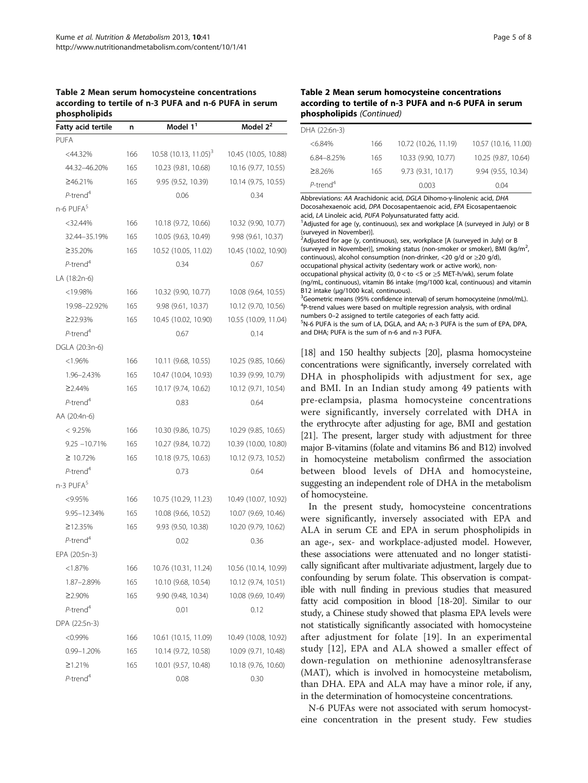<span id="page-4-0"></span>Table 2 Mean serum homocysteine concentrations according to tertile of n-3 PUFA and n-6 PUFA in serum phospholipids

| <b>Fatty acid tertile</b> | n   | Model 1 <sup>1</sup>                | Model $2^2$          |
|---------------------------|-----|-------------------------------------|----------------------|
| <b>PUFA</b>               |     |                                     |                      |
| <44.32%                   | 166 | $10.58$ (10.13, 11.05) <sup>3</sup> | 10.45 (10.05, 10.88) |
| 44.32-46.20%              | 165 | 10.23 (9.81, 10.68)                 | 10.16 (9.77, 10.55)  |
| ≥46.21%                   | 165 | 9.95 (9.52, 10.39)                  | 10.14 (9.75, 10.55)  |
| $P$ -trend <sup>4</sup>   |     | 0.06                                | 0.34                 |
| n-6 PUFA <sup>5</sup>     |     |                                     |                      |
| $<$ 32.44%                | 166 | 10.18 (9.72, 10.66)                 | 10.32 (9.90, 10.77)  |
| 32.44-35.19%              | 165 | 10.05 (9.63, 10.49)                 | 9.98 (9.61, 10.37)   |
| ≥35.20%                   | 165 | 10.52 (10.05, 11.02)                | 10.45 (10.02, 10.90) |
| $P$ -trend <sup>4</sup>   |     | 0.34                                | 0.67                 |
| LA (18:2n-6)              |     |                                     |                      |
| $<$ 19.98%                | 166 | 10.32 (9.90, 10.77)                 | 10.08 (9.64, 10.55)  |
| 19.98-22.92%              | 165 | 9.98(9.61, 10.37)                   | 10.12 (9.70, 10.56)  |
| ≥22.93%                   | 165 | 10.45 (10.02, 10.90)                | 10.55 (10.09, 11.04) |
| $P$ -trend <sup>4</sup>   |     | 0.67                                | 0.14                 |
| DGLA (20:3n-6)            |     |                                     |                      |
| < 1.96%                   | 166 | 10.11 (9.68, 10.55)                 | 10.25 (9.85, 10.66)  |
| 1.96-2.43%                | 165 | 10.47 (10.04, 10.93)                | 10.39 (9.99, 10.79)  |
| ≥2.44%                    | 165 | 10.17 (9.74, 10.62)                 | 10.12 (9.71, 10.54)  |
| $P$ -trend <sup>4</sup>   |     | 0.83                                | 0.64                 |
| AA (20:4n-6)              |     |                                     |                      |
| $< 9.25\%$                | 166 | 10.30 (9.86, 10.75)                 | 10.29 (9.85, 10.65)  |
| $9.25 - 10.71%$           | 165 | 10.27 (9.84, 10.72)                 | 10.39 (10.00, 10.80) |
| ≥ 10.72%                  | 165 | 10.18 (9.75, 10.63)                 | 10.12 (9.73, 10.52)  |
| $P$ -trend <sup>4</sup>   |     | 0.73                                | 0.64                 |
| n-3 PUFA <sup>5</sup>     |     |                                     |                      |
| < 9.95%                   | 166 | 10.75 (10.29, 11.23)                | 10.49 (10.07, 10.92) |
| 9.95-12.34%               | 165 | 10.08 (9.66, 10.52)                 | 10.07 (9.69, 10.46)  |
| ≥12.35%                   | 165 | 9.93 (9.50, 10.38)                  | 10.20 (9.79, 10.62)  |
| $P$ -trend <sup>4</sup>   |     | 0.02                                | 0.36                 |
| EPA (20:5n-3)             |     |                                     |                      |
| < 1.87%                   | 166 | 10.76 (10.31, 11.24)                | 10.56 (10.14, 10.99) |
| 1.87-2.89%                | 165 | 10.10 (9.68, 10.54)                 | 10.12 (9.74, 10.51)  |
| $\geq$ 2.90%              | 165 | 9.90 (9.48, 10.34)                  | 10.08 (9.69, 10.49)  |
| $P$ -trend <sup>4</sup>   |     | 0.01                                | 0.12                 |
| DPA (22:5n-3)             |     |                                     |                      |
| $< 0.99\%$                | 166 | 10.61 (10.15, 11.09)                | 10.49 (10.08, 10.92) |
| 0.99-1.20%                | 165 | 10.14 (9.72, 10.58)                 | 10.09 (9.71, 10.48)  |
| $\geq$ 1.21%              | 165 | 10.01 (9.57, 10.48)                 | 10.18 (9.76, 10.60)  |
| $P$ -trend <sup>4</sup>   |     | 0.08                                | 0.30                 |

## Table 2 Mean serum homocysteine concentrations according to tertile of n-3 PUFA and n-6 PUFA in serum phospholipids (Continued)

| DHA (22:6n-3)           |     |                      |                      |
|-------------------------|-----|----------------------|----------------------|
| $<6.84\%$               | 166 | 10.72 (10.26, 11.19) | 10.57 (10.16, 11.00) |
| 6.84-8.25%              | 165 | 10.33 (9.90, 10.77)  | 10.25 (9.87, 10.64)  |
| $\geq 8.26\%$           | 165 | 9.73 (9.31, 10.17)   | 9.94 (9.55, 10.34)   |
| $P$ -trend <sup>4</sup> |     | 0.003                | 004                  |

Abbreviations: AA Arachidonic acid, DGLA Dihomo-γ-linolenic acid, DHA Docosahexaenoic acid, DPA Docosapentaenoic acid, EPA Eicosapentaenoic acid, LA Linoleic acid, PUFA Polyunsaturated fatty acid.

<sup>1</sup>Adjusted for age (y, continuous), sex and workplace [A (surveyed in July) or B (surveyed in November)].

<sup>2</sup>Adjusted for age (y, continuous), sex, workplace [A (surveyed in July) or B (surveyed in November)], smoking status (non-smoker or smoker), BMI (kg/m<sup>2</sup>, , continuous), alcohol consumption (non-drinker, <20 g/d or ≥20 g/d), occupational physical activity (sedentary work or active work), nonoccupational physical activity (0,  $0 <$  to  $<$  5 or  $\geq$  5 MET-h/wk), serum folate (ng/mL, continuous), vitamin B6 intake (mg/1000 kcal, continuous) and vitamin B12 intake (μg/1000 kcal, continuous). <sup>3</sup>Geometric means (95% confidence interval) of serum homocysteine (nmol/mL). <sup>4</sup>P-trend values were based on multiple regression analysis, with ordinal numbers 0–2 assigned to tertile categories of each fatty acid. <sup>5</sup> N-6 PUFA is the sum of LA, DGLA, and AA; n-3 PUFA is the sum of EPA, DPA, and DHA; PUFA is the sum of n-6 and n-3 PUFA.

[[18](#page-7-0)] and 150 healthy subjects [[20\]](#page-7-0), plasma homocysteine concentrations were significantly, inversely correlated with DHA in phospholipids with adjustment for sex, age and BMI. In an Indian study among 49 patients with pre-eclampsia, plasma homocysteine concentrations were significantly, inversely correlated with DHA in the erythrocyte after adjusting for age, BMI and gestation [[21](#page-7-0)]. The present, larger study with adjustment for three major B-vitamins (folate and vitamins B6 and B12) involved in homocysteine metabolism confirmed the association between blood levels of DHA and homocysteine, suggesting an independent role of DHA in the metabolism of homocysteine.

In the present study, homocysteine concentrations were significantly, inversely associated with EPA and ALA in serum CE and EPA in serum phospholipids in an age-, sex- and workplace-adjusted model. However, these associations were attenuated and no longer statistically significant after multivariate adjustment, largely due to confounding by serum folate. This observation is compatible with null finding in previous studies that measured fatty acid composition in blood [\[18](#page-7-0)-[20](#page-7-0)]. Similar to our study, a Chinese study showed that plasma EPA levels were not statistically significantly associated with homocysteine after adjustment for folate [[19](#page-7-0)]. In an experimental study [\[12](#page-7-0)], EPA and ALA showed a smaller effect of down-regulation on methionine adenosyltransferase (MAT), which is involved in homocysteine metabolism, than DHA. EPA and ALA may have a minor role, if any, in the determination of homocysteine concentrations.

N-6 PUFAs were not associated with serum homocysteine concentration in the present study. Few studies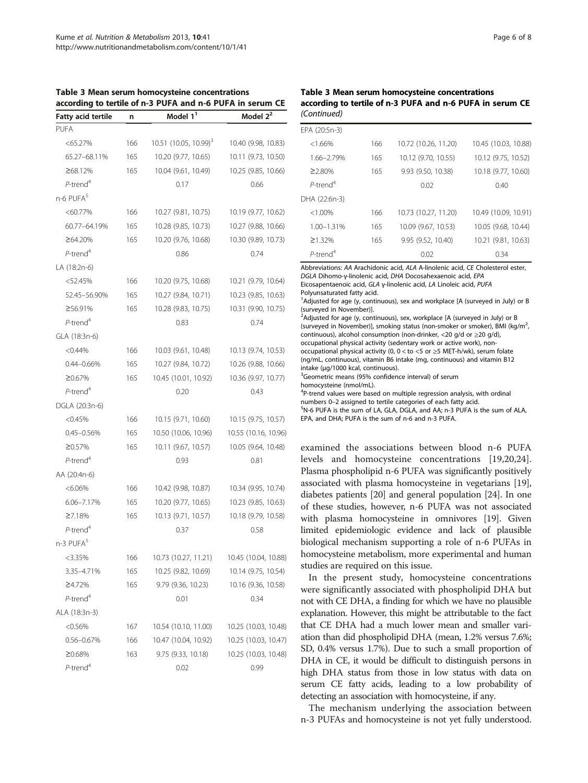| Fatty acid tertile      | n   | Model 1 <sup>1</sup>                | Model 2 <sup>2</sup> |
|-------------------------|-----|-------------------------------------|----------------------|
| <b>PUFA</b>             |     |                                     |                      |
| $< 65.27\%$             | 166 | $10.51$ (10.05, 10.99) <sup>3</sup> | 10.40 (9.98, 10.83)  |
| 65.27-68.11%            | 165 | 10.20 (9.77, 10.65)                 | 10.11 (9.73, 10.50)  |
| ≥68.12%                 | 165 | 10.04 (9.61, 10.49)                 | 10.25 (9.85, 10.66)  |
| $P$ -trend <sup>4</sup> |     | 0.17                                | 0.66                 |
| n-6 PUFA <sup>5</sup>   |     |                                     |                      |
| $< 60.77\%$             | 166 | 10.27 (9.81, 10.75)                 | 10.19 (9.77, 10.62)  |
| 60.77-64.19%            | 165 | 10.28 (9.85, 10.73)                 | 10.27 (9.88, 10.66)  |
| ≥64.20%                 | 165 | 10.20 (9.76, 10.68)                 | 10.30 (9.89, 10.73)  |
| $P$ -trend <sup>4</sup> |     | 0.86                                | 0.74                 |
| LA (18:2n-6)            |     |                                     |                      |
| $<$ 52.45%              | 166 | 10.20 (9.75, 10.68)                 | 10.21 (9.79, 10.64)  |
| 52.45-56.90%            | 165 | 10.27 (9.84, 10.71)                 | 10.23 (9.85, 10.63)  |
| ≥56.91%                 | 165 | 10.28 (9.83, 10.75)                 | 10.31 (9.90, 10.75)  |
| $P$ -trend <sup>4</sup> |     | 0.83                                | 0.74                 |
| GLA (18:3n-6)           |     |                                     |                      |
| $< 0.44\%$              | 166 | 10.03 (9.61, 10.48)                 | 10.13 (9.74, 10.53)  |
| 0.44-0.66%              | 165 | 10.27 (9.84, 10.72)                 | 10.26 (9.88, 10.66)  |
| ≥0.67%                  | 165 | 10.45 (10.01, 10.92)                | 10.36 (9.97, 10.77)  |
| $P$ -trend <sup>4</sup> |     | 0.20                                | 0.43                 |
| DGLA (20:3n-6)          |     |                                     |                      |
| < 0.45%                 | 166 | 10.15 (9.71, 10.60)                 | 10.15 (9.75, 10.57)  |
| 0.45-0.56%              | 165 | 10.50 (10.06, 10.96)                | 10.55 (10.16, 10.96) |
| ≥0.57%                  | 165 | 10.11 (9.67, 10.57)                 | 10.05 (9.64, 10.48)  |
| $P$ -trend <sup>4</sup> |     | 0.93                                | 0.81                 |
| AA (20:4n-6)            |     |                                     |                      |
| $< 6.06\%$              | 166 | 10.42 (9.98, 10.87)                 | 10.34 (9.95, 10.74)  |
| 6.06-7.17%              | 165 | 10.20 (9.77, 10.65)                 | 10.23 (9.85, 10.63)  |
| $\geq 7.18%$            | 165 | 10.13 (9.71, 10.57)                 | 10.18 (9.79, 10.58)  |
| $P$ -trend <sup>4</sup> |     | 0.37                                | 0.58                 |
| n-3 PUFA <sup>5</sup>   |     |                                     |                      |
| <3.35%                  | 166 | 10.73 (10.27, 11.21)                | 10.45 (10.04, 10.88) |
| 3.35-4.71%              | 165 | 10.25 (9.82, 10.69)                 | 10.14 (9.75, 10.54)  |
| ≥4.72%                  | 165 | 9.79 (9.36, 10.23)                  | 10.16 (9.36, 10.58)  |
| $P$ -trend <sup>4</sup> |     | 0.01                                | 0.34                 |
| ALA (18:3n-3)           |     |                                     |                      |
| $< 0.56\%$              | 167 | 10.54 (10.10, 11.00)                | 10.25 (10.03, 10.48) |
| 0.56-0.67%              | 166 | 10.47 (10.04, 10.92)                | 10.25 (10.03, 10.47) |
| ≥0.68%                  | 163 | 9.75 (9.33, 10.18)                  | 10.25 (10.03, 10.48) |
| $P$ -trend <sup>4</sup> |     | 0.02                                | 0.99                 |

## <span id="page-5-0"></span>Table 3 Mean serum homocysteine concentrations according to tertile of n-3 PUFA and n-6 PUFA in serum CE

## Table 3 Mean serum homocysteine concentrations according to tertile of n-3 PUFA and n-6 PUFA in serum CE (Continued)

| EPA (20:5n-3)           |     |                      |                      |
|-------------------------|-----|----------------------|----------------------|
| <1.66%                  | 166 | 10.72 (10.26, 11.20) | 10.45 (10.03, 10.88) |
| 1.66-2.79%              | 165 | 10.12 (9.70, 10.55)  | 10.12 (9.75, 10.52)  |
| $\geq$ 2.80%            | 165 | 9.93 (9.50, 10.38)   | 10.18 (9.77, 10.60)  |
| $P$ -trend <sup>4</sup> |     | 0.02                 | 0.40                 |
| DHA (22:6n-3)           |     |                      |                      |
| $<1.00\%$               | 166 | 10.73 (10.27, 11.20) | 10.49 (10.09, 10.91) |
| 1.00-1.31%              | 165 | 10.09 (9.67, 10.53)  | 10.05 (9.68, 10.44)  |
| $\geq$ 1.32%            | 165 | 9.95 (9.52, 10.40)   | 10.21 (9.81, 10.63)  |
| $P$ -trend <sup>4</sup> |     | 0.02                 | 0.34                 |
|                         |     |                      |                      |

Abbreviations: AA Arachidonic acid, ALA A-linolenic acid, CE Cholesterol ester, DGLA Dihomo-γ-linolenic acid, DHA Docosahexaenoic acid, EPA Eicosapentaenoic acid, GLA γ-linolenic acid, LA Linoleic acid, PUFA Polyunsaturated fatty acid.

<sup>1</sup>Adjusted for age (y, continuous), sex and workplace [A (surveyed in July) or B (surveyed in November)].

<sup>2</sup>Adjusted for age (y, continuous), sex, workplace [A (surveyed in July) or B (surveyed in November)], smoking status (non-smoker or smoker), BMI (kg/m<sup>2</sup>, , continuous), alcohol consumption (non-drinker, <20 g/d or ≥20 g/d), occupational physical activity (sedentary work or active work), nonoccupational physical activity (0, 0 < to <5 or ≥5 MET-h/wk), serum folate (ng/mL, continuous), vitamin B6 intake (mg, continuous) and vitamin B12 intake (μg/1000 kcal, continuous). <sup>3</sup>

<sup>3</sup>Geometric means (95% confidence interval) of serum

homocysteine (nmol/mL).

<sup>4</sup>P-trend values were based on multiple regression analysis, with ordinal numbers 0–2 assigned to tertile categories of each fatty acid. <sup>5</sup>

<sup>5</sup>N-6 PUFA is the sum of LA, GLA, DGLA, and AA; n-3 PUFA is the sum of ALA, EPA, and DHA; PUFA is the sum of n-6 and n-3 PUFA.

examined the associations between blood n-6 PUFA levels and homocysteine concentrations [[19,20,24](#page-7-0)]. Plasma phospholipid n-6 PUFA was significantly positively associated with plasma homocysteine in vegetarians [[19](#page-7-0)], diabetes patients [\[20\]](#page-7-0) and general population [\[24\]](#page-7-0). In one of these studies, however, n-6 PUFA was not associated with plasma homocysteine in omnivores [\[19\]](#page-7-0). Given limited epidemiologic evidence and lack of plausible biological mechanism supporting a role of n-6 PUFAs in homocysteine metabolism, more experimental and human studies are required on this issue.

In the present study, homocysteine concentrations were significantly associated with phospholipid DHA but not with CE DHA, a finding for which we have no plausible explanation. However, this might be attributable to the fact that CE DHA had a much lower mean and smaller variation than did phospholipid DHA (mean, 1.2% versus 7.6%; SD, 0.4% versus 1.7%). Due to such a small proportion of DHA in CE, it would be difficult to distinguish persons in high DHA status from those in low status with data on serum CE fatty acids, leading to a low probability of detecting an association with homocysteine, if any.

The mechanism underlying the association between n-3 PUFAs and homocysteine is not yet fully understood.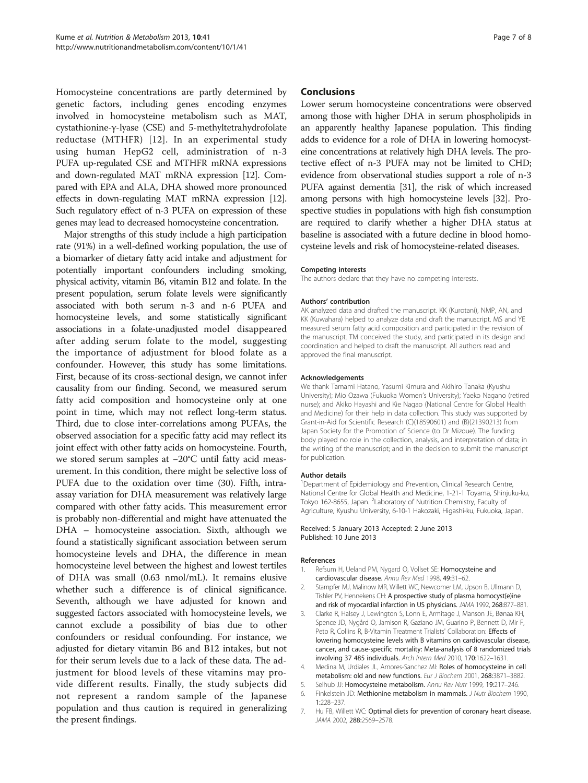<span id="page-6-0"></span>Homocysteine concentrations are partly determined by genetic factors, including genes encoding enzymes involved in homocysteine metabolism such as MAT, cystathionine-γ-lyase (CSE) and 5-methyltetrahydrofolate reductase (MTHFR) [\[12](#page-7-0)]. In an experimental study using human HepG2 cell, administration of n-3 PUFA up-regulated CSE and MTHFR mRNA expressions and down-regulated MAT mRNA expression [[12](#page-7-0)]. Compared with EPA and ALA, DHA showed more pronounced effects in down-regulating MAT mRNA expression [\[12](#page-7-0)]. Such regulatory effect of n-3 PUFA on expression of these genes may lead to decreased homocysteine concentration.

Major strengths of this study include a high participation rate (91%) in a well-defined working population, the use of a biomarker of dietary fatty acid intake and adjustment for potentially important confounders including smoking, physical activity, vitamin B6, vitamin B12 and folate. In the present population, serum folate levels were significantly associated with both serum n-3 and n-6 PUFA and homocysteine levels, and some statistically significant associations in a folate-unadjusted model disappeared after adding serum folate to the model, suggesting the importance of adjustment for blood folate as a confounder. However, this study has some limitations. First, because of its cross-sectional design, we cannot infer causality from our finding. Second, we measured serum fatty acid composition and homocysteine only at one point in time, which may not reflect long-term status. Third, due to close inter-correlations among PUFAs, the observed association for a specific fatty acid may reflect its joint effect with other fatty acids on homocysteine. Fourth, we stored serum samples at −20°C until fatty acid measurement. In this condition, there might be selective loss of PUFA due to the oxidation over time ([30](#page-7-0)). Fifth, intraassay variation for DHA measurement was relatively large compared with other fatty acids. This measurement error is probably non-differential and might have attenuated the DHA – homocysteine association. Sixth, although we found a statistically significant association between serum homocysteine levels and DHA, the difference in mean homocysteine level between the highest and lowest tertiles of DHA was small (0.63 nmol/mL). It remains elusive whether such a difference is of clinical significance. Seventh, although we have adjusted for known and suggested factors associated with homocysteine levels, we cannot exclude a possibility of bias due to other confounders or residual confounding. For instance, we adjusted for dietary vitamin B6 and B12 intakes, but not for their serum levels due to a lack of these data. The adjustment for blood levels of these vitamins may provide different results. Finally, the study subjects did not represent a random sample of the Japanese population and thus caution is required in generalizing the present findings.

## Conclusions

Lower serum homocysteine concentrations were observed among those with higher DHA in serum phospholipids in an apparently healthy Japanese population. This finding adds to evidence for a role of DHA in lowering homocysteine concentrations at relatively high DHA levels. The protective effect of n-3 PUFA may not be limited to CHD; evidence from observational studies support a role of n-3 PUFA against dementia [[31](#page-7-0)], the risk of which increased among persons with high homocysteine levels [\[32\]](#page-7-0). Prospective studies in populations with high fish consumption are required to clarify whether a higher DHA status at baseline is associated with a future decline in blood homocysteine levels and risk of homocysteine-related diseases.

#### Competing interests

The authors declare that they have no competing interests.

#### Authors' contribution

AK analyzed data and drafted the manuscript. KK (Kurotani), NMP, AN, and KK (Kuwahara) helped to analyze data and draft the manuscript. MS and YE measured serum fatty acid composition and participated in the revision of the manuscript. TM conceived the study, and participated in its design and coordination and helped to draft the manuscript. All authors read and approved the final manuscript.

#### Acknowledgements

We thank Tamami Hatano, Yasumi Kimura and Akihiro Tanaka (Kyushu University); Mio Ozawa (Fukuoka Women's University); Yaeko Nagano (retired nurse); and Akiko Hayashi and Kie Nagao (National Centre for Global Health and Medicine) for their help in data collection. This study was supported by Grant-in-Aid for Scientific Research (C)(18590601) and (B)(21390213) from Japan Society for the Promotion of Science (to Dr Mizoue). The funding body played no role in the collection, analysis, and interpretation of data; in the writing of the manuscript; and in the decision to submit the manuscript for publication.

#### Author details

<sup>1</sup>Department of Epidemiology and Prevention, Clinical Research Centre, National Centre for Global Health and Medicine, 1-21-1 Toyama, Shinjuku-ku, Tokyo 162-8655, Japan. <sup>2</sup>Laboratory of Nutrition Chemistry, Faculty of Agriculture, Kyushu University, 6-10-1 Hakozaki, Higashi-ku, Fukuoka, Japan.

#### Received: 5 January 2013 Accepted: 2 June 2013 Published: 10 June 2013

#### References

- 1. Refsum H, Ueland PM, Nygard O, Vollset SE: Homocysteine and cardiovascular disease. Annu Rev Med 1998, 49:31–62.
- 2. Stampfer MJ, Malinow MR, Willett WC, Newcomer LM, Upson B, Ullmann D, Tishler PV, Hennekens CH: A prospective study of plasma homocyst(e)ine and risk of myocardial infarction in US physicians. JAMA 1992, 268:877–881.
- 3. Clarke R, Halsey J, Lewington S, Lonn E, Armitage J, Manson JE, Bønaa KH, Spence JD, Nygård O, Jamison R, Gaziano JM, Guarino P, Bennett D, Mir F, Peto R, Collins R, B-Vitamin Treatment Trialists' Collaboration: Effects of lowering homocysteine levels with B vitamins on cardiovascular disease, cancer, and cause-specific mortality: Meta-analysis of 8 randomized trials involving 37 485 individuals. Arch Intern Med 2010, 170:1622–1631.
- 4. Medina M, Urdiales JL, Amores-Sanchez MI: Roles of homocysteine in cell metabolism: old and new functions. Eur J Biochem 2001, 268:3871–3882.
- 5. Selhub JJ: Homocysteine metabolism. Annu Rev Nutr 1999, 19:217–246.
- 6. Finkelstein JD: Methionine metabolism in mammals. J Nutr Biochem 1990, 1:228–237.
- 7. Hu FB, Willett WC: Optimal diets for prevention of coronary heart disease. JAMA 2002, 288:2569–2578.